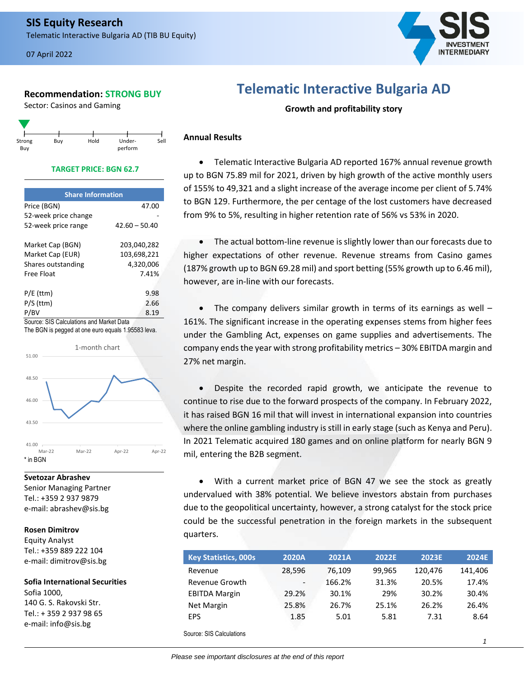# **Recommendation: STRONG BUY**

Sector: Casinos and Gaming



## **TARGET PRICE: BGN 62.7**

| 47.00                                    |
|------------------------------------------|
|                                          |
| $42.60 - 50.40$                          |
| 203,040,282                              |
| 103,698,221                              |
| 4,320,006                                |
| 7.41%                                    |
|                                          |
| 9.98                                     |
| 2.66                                     |
| 8.19                                     |
| Source: SIS Calculations and Market Data |

The BGN is pegged at one euro equals 1.95583 leva.



# **Svetozar Abrashev**

Senior Managing Partner Tel.: +359 2 937 9879 e-mail: abrashev@sis.bg

## **Rosen Dimitrov**

Equity Analyst Tel.: +359 889 222 104 e-mail: dimitrov@sis.bg

e-mail: info@sis.bg

**Sofia International Securities** Sofia 1000, 140 G. S. Rakovski Str. Tel.: + 359 2 937 98 65

# **Telematic Interactive Bulgaria AD**

**Growth and profitability story**

# **Annual Results**

• Telematic Interactive Bulgaria AD reported 167% annual revenue growth up to BGN 75.89 mil for 2021, driven by high growth of the active monthly users of 155% to 49,321 and a slight increase of the average income per client of 5.74% to BGN 129. Furthermore, the per centage of the lost customers have decreased from 9% to 5%, resulting in higher retention rate of 56% vs 53% in 2020.

• The actual bottom-line revenue is slightly lower than our forecasts due to higher expectations of other revenue. Revenue streams from Casino games (187% growth up to BGN 69.28 mil) and sport betting (55% growth up to 6.46 mil), however, are in-line with our forecasts.

The company delivers similar growth in terms of its earnings as well  $-$ 161%. The significant increase in the operating expenses stems from higher fees under the Gambling Act, expenses on game supplies and advertisements. The company ends the year with strong profitability metrics – 30% EBITDA margin and 27% net margin.

• Despite the recorded rapid growth, we anticipate the revenue to continue to rise due to the forward prospects of the company. In February 2022, it has raised BGN 16 mil that will invest in international expansion into countries where the online gambling industry is still in early stage (such as Kenya and Peru). In 2021 Telematic acquired 180 games and on online platform for nearly BGN 9 mil, entering the B2B segment.

• With a current market price of BGN 47 we see the stock as greatly undervalued with 38% potential. We believe investors abstain from purchases due to the geopolitical uncertainty, however, a strong catalyst for the stock price could be the successful penetration in the foreign markets in the subsequent quarters.

| <b>Key Statistics, 000s</b>        | <b>2020A</b>             | 2021A  | <b>2022E</b> | 2023E   | 2024E   |
|------------------------------------|--------------------------|--------|--------------|---------|---------|
| Revenue                            | 28,596                   | 76.109 | 99,965       | 120,476 | 141,406 |
| Revenue Growth                     | $\overline{\phantom{a}}$ | 166.2% | 31.3%        | 20.5%   | 17.4%   |
| <b>EBITDA Margin</b>               | 29.2%                    | 30.1%  | 29%          | 30.2%   | 30.4%   |
| <b>Net Margin</b>                  | 25.8%                    | 26.7%  | 25.1%        | 26.2%   | 26.4%   |
| <b>EPS</b>                         | 1.85                     | 5.01   | 5.81         | 7.31    | 8.64    |
| $\sim$ $\sim$ $\sim$ $\sim$ $\sim$ |                          |        |              |         |         |

Source: SIS Calculations

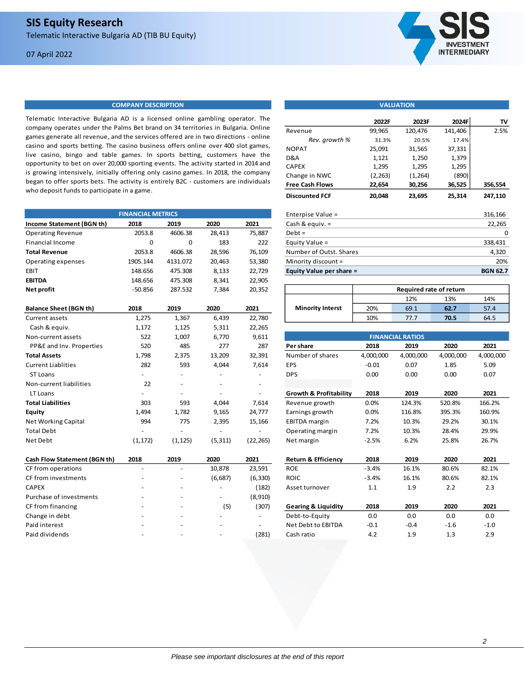## 07 April 2022



## **COMPANY DESCRIPTION**

Telematic Interactive Bulgaria AD is a licensed online gambling operator. The company operates under the Palms Bet brand on 34 territories in Bulgaria. Online games generate all revenue, and the services offered are in two directions - online casino and sports betting. The casino business offers online over 400 slot games, live casino, bingo and table games. In sports betting, customers have the opportunity to bet on over 20,000 sporting events. The activity started in 2014 and is growing intensively, initially offering only casino games. In 2018, the company began to offer sports bets. The activity is entirely B2C - customers are individuals who deposit funds to participate in a game.

|                               | <b>FINANCIAL METRICS</b> |                |          |                | Enterpise Value =                 |           |                         |           | 316,166         |
|-------------------------------|--------------------------|----------------|----------|----------------|-----------------------------------|-----------|-------------------------|-----------|-----------------|
| Income Statement (BGN th)     | 2018                     | 2019           | 2020     | 2021           | Cash & equiv. =                   |           |                         |           | 22,265          |
| <b>Operating Revenue</b>      | 2053.8                   | 4606.38        | 28,413   | 75,887         | $Debt =$                          |           |                         |           |                 |
| <b>Financial Income</b>       | 0                        | 0              | 183      | 222            | Equity Value =                    |           |                         |           | 338,431         |
| <b>Total Revenue</b>          | 2053.8                   | 4606.38        | 28,596   | 76,109         | Number of Outst. Shares           |           |                         |           | 4,320           |
| Operating expenses            | 1905.144                 | 4131.072       | 20,463   | 53,380         | Minority discount =               |           |                         |           | 20%             |
| EBIT                          | 148.656                  | 475.308        | 8,133    | 22,729         | Equity Value per share =          |           |                         |           | <b>BGN 62.7</b> |
| <b>EBITDA</b>                 | 148.656                  | 475.308        | 8,341    | 22,905         |                                   |           |                         |           |                 |
| Net profit                    | $-50.856$                | 287.532        | 7,384    | 20,352         |                                   |           | Required rate of return |           |                 |
|                               |                          |                |          |                |                                   |           | 12%                     | 13%       | 14%             |
| <b>Balance Sheet (BGN th)</b> | 2018                     | 2019           | 2020     | 2021           | <b>Minority Interst</b>           | 20%       | 69.1                    | 62.7      | 57.4            |
| <b>Current assets</b>         | 1,275                    | 1,367          | 6,439    | 22,780         |                                   | 10%       | 77.7                    | 70.5      | 64.5            |
| Cash & equiv.                 | 1,172                    | 1,125          | 5,311    | 22,265         |                                   |           |                         |           |                 |
| Non-current assets            | 522                      | 1,007          | 6,770    | 9,611          |                                   |           | <b>FINANCIAL RATIOS</b> |           |                 |
| PP&E and Inv. Properties      | 520                      | 485            | 277      | 287            | Per share                         | 2018      | 2019                    | 2020      | 2021            |
| <b>Total Assets</b>           | 1,798                    | 2,375          | 13,209   | 32,391         | Number of shares                  | 4,000,000 | 4,000,000               | 4,000,000 | 4,000,000       |
| <b>Current Liablities</b>     | 282                      | 593            | 4,044    | 7,614          | <b>EPS</b>                        | $-0.01$   | 0.07                    | 1.85      | 5.09            |
| ST Loans                      | ÷                        |                |          |                | <b>DPS</b>                        | 0.00      | 0.00                    | 0.00      | 0.07            |
| Non-current liabilities       | 22                       |                |          |                |                                   |           |                         |           |                 |
| LT Loans                      |                          |                |          | ä,             | <b>Growth &amp; Profitability</b> | 2018      | 2019                    | 2020      | 2021            |
| <b>Total Liabilities</b>      | 303                      | 593            | 4,044    | 7,614          | Revenue growth                    | 0.0%      | 124.3%                  | 520.8%    | 166.2%          |
| <b>Equity</b>                 | 1,494                    | 1,782          | 9,165    | 24,777         | Earnings growth                   | 0.0%      | 116.8%                  | 395.3%    | 160.9%          |
| <b>Net Working Capital</b>    | 994                      | 775            | 2,395    | 15,166         | <b>EBITDA</b> margin              | 7.2%      | 10.3%                   | 29.2%     | 30.1%           |
| <b>Total Debt</b>             |                          |                |          |                | Operating margin                  | 7.2%      | 10.3%                   | 28.4%     | 29.9%           |
| Net Debt                      | (1, 172)                 | (1, 125)       | (5, 311) | (22, 265)      | Net margin                        | $-2.5%$   | 6.2%                    | 25.8%     | 26.7%           |
| Cash Flow Statement (BGN th)  | 2018                     | 2019           | 2020     | 2021           | <b>Return &amp; Efficiency</b>    | 2018      | 2019                    | 2020      | 2021            |
| CF from operations            | ä,                       | $\blacksquare$ | 10,878   | 23,591         | <b>ROE</b>                        | $-3.4%$   | 16.1%                   | 80.6%     | 82.1%           |
| CF from investments           |                          |                | (6,687)  | (6, 330)       | <b>ROIC</b>                       | $-3.4%$   | 16.1%                   | 80.6%     | 82.1%           |
| <b>CAPEX</b>                  |                          |                |          | (182)          | Asset turnover                    | 1.1       | 1.9                     | 2.2       | 2.3             |
| Purchase of investments       |                          |                |          | (8,910)        |                                   |           |                         |           |                 |
| CF from financing             |                          |                | (5)      | (307)          | <b>Gearing &amp; Liquidity</b>    | 2018      | 2019                    | 2020      | 2021            |
| Change in debt                |                          |                |          | $\blacksquare$ | Debt-to-Equity                    | 0.0       | 0.0                     | 0.0       | 0.0             |
| Paid interest                 |                          |                |          | $\blacksquare$ | Net Debt to EBITDA                | $-0.1$    | $-0.4$                  | $-1.6$    | $-1.0$          |
| Paid dividends                |                          |                |          | (281)          | Cash ratio                        | 4.2       | 1.9                     | 1.3       | 2.9             |

| VALUATION                |          |         |         |                 |  |  |
|--------------------------|----------|---------|---------|-----------------|--|--|
|                          |          |         |         |                 |  |  |
|                          | 2022F    | 2023F   | 2024F   | TV              |  |  |
| Revenue                  | 99,965   | 120,476 | 141,406 | 2.5%            |  |  |
| Rev. growth %            | 31.3%    | 20.5%   | 17.4%   |                 |  |  |
| <b>NOPAT</b>             | 25,091   | 31,565  | 37,331  |                 |  |  |
| D&A                      | 1,121    | 1,250   | 1,379   |                 |  |  |
| <b>CAPEX</b>             | 1,295    | 1,295   | 1,295   |                 |  |  |
| Change in NWC            | (2, 263) | (1,264) | (890)   |                 |  |  |
| <b>Free Cash Flows</b>   | 22,654   | 30,256  | 36,525  | 356,554         |  |  |
| <b>Discounted FCF</b>    | 20,048   | 23,695  | 25,314  | 247,110         |  |  |
| Enterpise Value =        |          |         |         | 316,166         |  |  |
| Cash & equiv. $=$        |          |         |         | 22,265          |  |  |
| $Debt =$                 |          |         |         | 0               |  |  |
| Equity Value =           |          |         |         | 338,431         |  |  |
| Number of Outst. Shares  |          |         |         | 4,320           |  |  |
| Minority discount =      |          |         |         | 20%             |  |  |
| Equity Value per share = |          |         |         | <b>BGN 62.7</b> |  |  |
|                          |          |         |         |                 |  |  |

|                         | Required rate of return |      |      |      |
|-------------------------|-------------------------|------|------|------|
|                         |                         | 12%  | 13%  | 14%  |
| <b>Minority Interst</b> | 20%                     | 69.1 | 62.7 | 57.4 |
|                         | 10%                     | 77 7 | 70.5 | 64.5 |

| <b>FINANCIAL RATIOS</b>           |           |           |           |           |  |
|-----------------------------------|-----------|-----------|-----------|-----------|--|
| Per share                         | 2018      | 2019      | 2020      | 2021      |  |
| Number of shares                  | 4,000,000 | 4,000,000 | 4,000,000 | 4,000,000 |  |
| <b>EPS</b>                        | $-0.01$   | 0.07      | 1.85      | 5.09      |  |
| <b>DPS</b>                        | 0.00      | 0.00      | 0.00      | 0.07      |  |
|                                   |           |           |           |           |  |
| <b>Growth &amp; Profitability</b> | 2018      | 2019      | 2020      | 2021      |  |
| Revenue growth                    | 0.0%      | 124.3%    | 520.8%    | 166.2%    |  |
| Earnings growth                   | 0.0%      | 116.8%    | 395.3%    | 160.9%    |  |
| <b>EBITDA</b> margin              | 7.2%      | 10.3%     | 29.2%     | 30.1%     |  |
| Operating margin                  | 7.2%      | 10.3%     | 28.4%     | 29.9%     |  |
| Net margin                        | $-2.5%$   | 6.2%      | 25.8%     | 26.7%     |  |
|                                   |           |           |           |           |  |
| <b>Return &amp; Efficiency</b>    | 2018      | 2019      | 2020      | 2021      |  |
| <b>ROE</b>                        | $-3.4%$   | 16.1%     | 80.6%     | 82.1%     |  |
| <b>ROIC</b>                       | $-3.4%$   | 16.1%     | 80.6%     | 82.1%     |  |
| Asset turnover                    | 1.1       | 1.9       | 2.2       | 2.3       |  |
|                                   |           |           |           |           |  |
| <b>Gearing &amp; Liquidity</b>    | 2018      | 2019      | 2020      | 2021      |  |
| Debt-to-Equity                    | 0.0       | 0.0       | 0.0       | 0.0       |  |
| Net Debt to EBITDA                | $-0.1$    | $-0.4$    | $-1.6$    | $-1.0$    |  |
| Cash ratio                        | 4.2       | 1.9       | 1.3       | 2.9       |  |